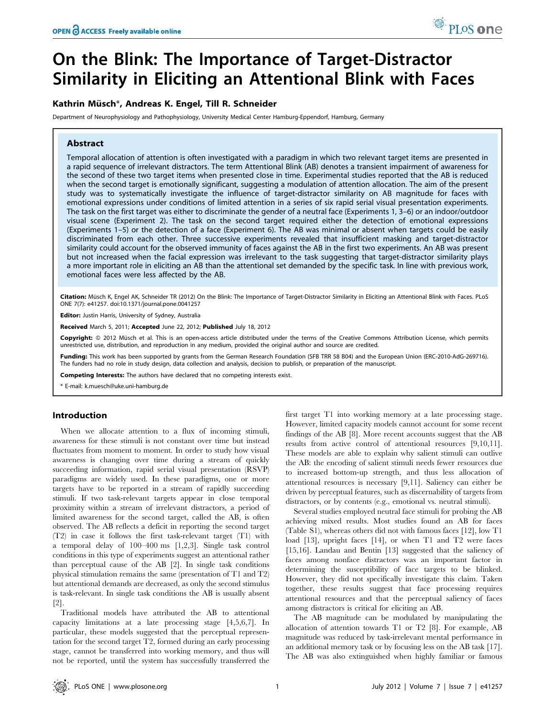# On the Blink: The Importance of Target-Distractor Similarity in Eliciting an Attentional Blink with Faces

# Kathrin Müsch\*, Andreas K. Engel, Till R. Schneider

Department of Neurophysiology and Pathophysiology, University Medical Center Hamburg-Eppendorf, Hamburg, Germany

# Abstract

Temporal allocation of attention is often investigated with a paradigm in which two relevant target items are presented in a rapid sequence of irrelevant distractors. The term Attentional Blink (AB) denotes a transient impairment of awareness for the second of these two target items when presented close in time. Experimental studies reported that the AB is reduced when the second target is emotionally significant, suggesting a modulation of attention allocation. The aim of the present study was to systematically investigate the influence of target-distractor similarity on AB magnitude for faces with emotional expressions under conditions of limited attention in a series of six rapid serial visual presentation experiments. The task on the first target was either to discriminate the gender of a neutral face (Experiments 1, 3–6) or an indoor/outdoor visual scene (Experiment 2). The task on the second target required either the detection of emotional expressions (Experiments 1–5) or the detection of a face (Experiment 6). The AB was minimal or absent when targets could be easily discriminated from each other. Three successive experiments revealed that insufficient masking and target-distractor similarity could account for the observed immunity of faces against the AB in the first two experiments. An AB was present but not increased when the facial expression was irrelevant to the task suggesting that target-distractor similarity plays a more important role in eliciting an AB than the attentional set demanded by the specific task. In line with previous work, emotional faces were less affected by the AB.

Citation: Müsch K, Engel AK, Schneider TR (2012) On the Blink: The Importance of Target-Distractor Similarity in Eliciting an Attentional Blink with Faces. PLoS ONE 7(7): e41257. doi:10.1371/journal.pone.0041257

Editor: Justin Harris, University of Sydney, Australia

Received March 5, 2011; Accepted June 22, 2012; Published July 18, 2012

Copyright: @ 2012 Müsch et al. This is an open-access article distributed under the terms of the Creative Commons Attribution License, which permits unrestricted use, distribution, and reproduction in any medium, provided the original author and source are credited.

Funding: This work has been supported by grants from the German Research Foundation (SFB TRR 58 B04) and the European Union (ERC-2010-AdG-269716). The funders had no role in study design, data collection and analysis, decision to publish, or preparation of the manuscript.

Competing Interests: The authors have declared that no competing interests exist.

\* E-mail: k.muesch@uke.uni-hamburg.de

## Introduction

When we allocate attention to a flux of incoming stimuli, awareness for these stimuli is not constant over time but instead fluctuates from moment to moment. In order to study how visual awareness is changing over time during a stream of quickly succeeding information, rapid serial visual presentation (RSVP) paradigms are widely used. In these paradigms, one or more targets have to be reported in a stream of rapidly succeeding stimuli. If two task-relevant targets appear in close temporal proximity within a stream of irrelevant distractors, a period of limited awareness for the second target, called the AB, is often observed. The AB reflects a deficit in reporting the second target (T2) in case it follows the first task-relevant target (T1) with a temporal delay of 100–400 ms [1,2,3]. Single task control conditions in this type of experiments suggest an attentional rather than perceptual cause of the AB [2]. In single task conditions physical stimulation remains the same (presentation of T1 and T2) but attentional demands are decreased, as only the second stimulus is task-relevant. In single task conditions the AB is usually absent [2].

Traditional models have attributed the AB to attentional capacity limitations at a late processing stage [4,5,6,7]. In particular, these models suggested that the perceptual representation for the second target T2, formed during an early processing stage, cannot be transferred into working memory, and thus will not be reported, until the system has successfully transferred the first target T1 into working memory at a late processing stage. However, limited capacity models cannot account for some recent findings of the AB [8]. More recent accounts suggest that the AB results from active control of attentional resources [9,10,11]. These models are able to explain why salient stimuli can outlive the AB: the encoding of salient stimuli needs fewer resources due to increased bottom-up strength, and thus less allocation of attentional resources is necessary [9,11]. Saliency can either be driven by perceptual features, such as discernability of targets from distractors, or by contents (e.g., emotional vs. neutral stimuli).

Several studies employed neutral face stimuli for probing the AB achieving mixed results. Most studies found an AB for faces (Table S1), whereas others did not with famous faces [12], low T1 load [13], upright faces [14], or when T1 and T2 were faces [15,16]. Landau and Bentin [13] suggested that the saliency of faces among nonface distractors was an important factor in determining the susceptibility of face targets to be blinked. However, they did not specifically investigate this claim. Taken together, these results suggest that face processing requires attentional resources and that the perceptual saliency of faces among distractors is critical for eliciting an AB.

The AB magnitude can be modulated by manipulating the allocation of attention towards T1 or T2 [8]. For example, AB magnitude was reduced by task-irrelevant mental performance in an additional memory task or by focusing less on the AB task [17]. The AB was also extinguished when highly familiar or famous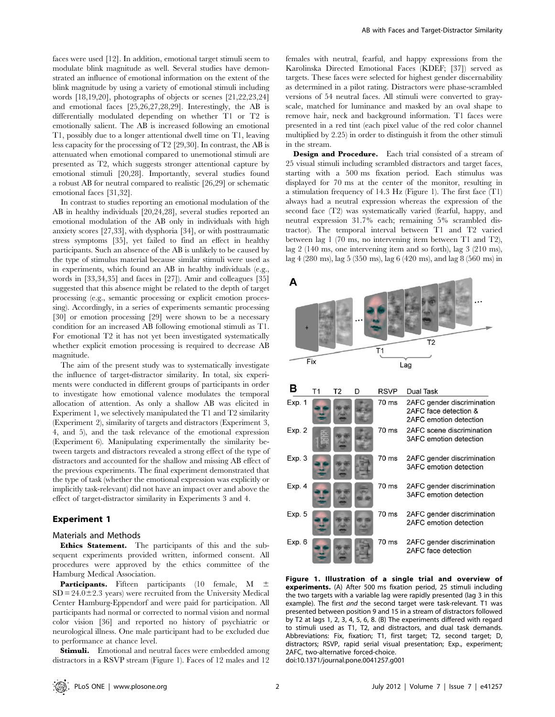faces were used [12]. In addition, emotional target stimuli seem to modulate blink magnitude as well. Several studies have demonstrated an influence of emotional information on the extent of the blink magnitude by using a variety of emotional stimuli including words [18,19,20], photographs of objects or scenes [21,22,23,24] and emotional faces [25,26,27,28,29]. Interestingly, the AB is differentially modulated depending on whether T1 or T2 is emotionally salient. The AB is increased following an emotional T1, possibly due to a longer attentional dwell time on T1, leaving less capacity for the processing of T2 [29,30]. In contrast, the AB is attenuated when emotional compared to unemotional stimuli are presented as T2, which suggests stronger attentional capture by emotional stimuli [20,28]. Importantly, several studies found a robust AB for neutral compared to realistic [26,29] or schematic emotional faces [31,32].

In contrast to studies reporting an emotional modulation of the AB in healthy individuals [20,24,28], several studies reported an emotional modulation of the AB only in individuals with high anxiety scores [27,33], with dysphoria [34], or with posttraumatic stress symptoms [35], yet failed to find an effect in healthy participants. Such an absence of the AB is unlikely to be caused by the type of stimulus material because similar stimuli were used as in experiments, which found an AB in healthy individuals (e.g., words in [33,34,35] and faces in [27]). Amir and colleagues [35] suggested that this absence might be related to the depth of target processing (e.g., semantic processing or explicit emotion processing). Accordingly, in a series of experiments semantic processing [30] or emotion processing [29] were shown to be a necessary condition for an increased AB following emotional stimuli as T1. For emotional T2 it has not yet been investigated systematically whether explicit emotion processing is required to decrease AB magnitude.

The aim of the present study was to systematically investigate the influence of target-distractor similarity. In total, six experiments were conducted in different groups of participants in order to investigate how emotional valence modulates the temporal allocation of attention. As only a shallow AB was elicited in Experiment 1, we selectively manipulated the T1 and T2 similarity (Experiment 2), similarity of targets and distractors (Experiment 3, 4, and 5), and the task relevance of the emotional expression (Experiment 6). Manipulating experimentally the similarity between targets and distractors revealed a strong effect of the type of distractors and accounted for the shallow and missing AB effect of the previous experiments. The final experiment demonstrated that the type of task (whether the emotional expression was explicitly or implicitly task-relevant) did not have an impact over and above the effect of target-distractor similarity in Experiments 3 and 4.

## Experiment 1

#### Materials and Methods

Ethics Statement. The participants of this and the subsequent experiments provided written, informed consent. All procedures were approved by the ethics committee of the Hamburg Medical Association.

Participants. Fifteen participants (10 female, M  $\pm$  $SD = 24.0 \pm 2.3$  years) were recruited from the University Medical Center Hamburg-Eppendorf and were paid for participation. All participants had normal or corrected to normal vision and normal color vision [36] and reported no history of psychiatric or neurological illness. One male participant had to be excluded due to performance at chance level.

**Stimuli.** Emotional and neutral faces were embedded among distractors in a RSVP stream (Figure 1). Faces of 12 males and 12 females with neutral, fearful, and happy expressions from the Karolinska Directed Emotional Faces (KDEF; [37]) served as targets. These faces were selected for highest gender discernability as determined in a pilot rating. Distractors were phase-scrambled versions of 54 neutral faces. All stimuli were converted to grayscale, matched for luminance and masked by an oval shape to remove hair, neck and background information. T1 faces were presented in a red tint (each pixel value of the red color channel multiplied by 2.25) in order to distinguish it from the other stimuli in the stream.

Design and Procedure. Each trial consisted of a stream of 25 visual stimuli including scrambled distractors and target faces, starting with a 500 ms fixation period. Each stimulus was displayed for 70 ms at the center of the monitor, resulting in a stimulation frequency of 14.3 Hz (Figure 1). The first face (T1) always had a neutral expression whereas the expression of the second face (T2) was systematically varied (fearful, happy, and neutral expression 31.7% each; remaining 5% scrambled distractor). The temporal interval between T1 and T2 varied between lag 1 (70 ms, no intervening item between T1 and T2), lag 2 (140 ms, one intervening item and so forth), lag 3 (210 ms), lag 4 (280 ms), lag 5 (350 ms), lag 6 (420 ms), and lag 8 (560 ms) in



Figure 1. Illustration of a single trial and overview of experiments. (A) After 500 ms fixation period, 25 stimuli including the two targets with a variable lag were rapidly presented (lag 3 in this example). The first *and* the second target were task-relevant. T1 was presented between position 9 and 15 in a stream of distractors followed by T2 at lags 1, 2, 3, 4, 5, 6, 8. (B) The experiments differed with regard to stimuli used as T1, T2, and distractors, and dual task demands. Abbreviations: Fix, fixation; T1, first target; T2, second target; D, distractors; RSVP, rapid serial visual presentation; Exp., experiment; 2AFC, two-alternative forced-choice.

doi:10.1371/journal.pone.0041257.g001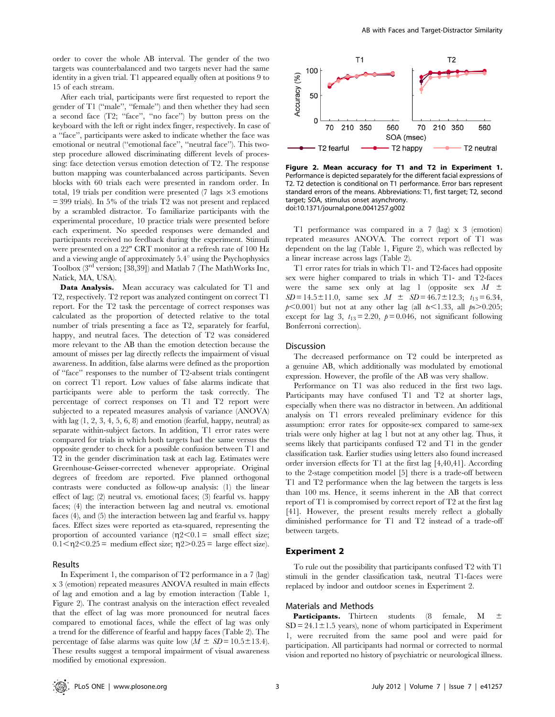order to cover the whole AB interval. The gender of the two targets was counterbalanced and two targets never had the same identity in a given trial. T1 appeared equally often at positions 9 to 15 of each stream.

After each trial, participants were first requested to report the gender of T1 (''male'', ''female'') and then whether they had seen a second face (T2; ''face'', ''no face'') by button press on the keyboard with the left or right index finger, respectively. In case of a ''face'', participants were asked to indicate whether the face was emotional or neutral (''emotional face'', ''neutral face''). This twostep procedure allowed discriminating different levels of processing: face detection versus emotion detection of T2. The response button mapping was counterbalanced across participants. Seven blocks with 60 trials each were presented in random order. In total, 19 trials per condition were presented  $(7 \text{ lags } \times 3 \text{ emotions})$ = 399 trials). In 5% of the trials T2 was not present and replaced by a scrambled distractor. To familiarize participants with the experimental procedure, 10 practice trials were presented before each experiment. No speeded responses were demanded and participants received no feedback during the experiment. Stimuli were presented on a 22" CRT monitor at a refresh rate of 100 Hz and a viewing angle of approximately  $5.4^{\circ}$  using the Psychophysics Toolbox  $(3^{rd}$  version; [38,39]) and Matlab 7 (The MathWorks Inc, Natick, MA, USA).

Data Analysis. Mean accuracy was calculated for T1 and T2, respectively. T2 report was analyzed contingent on correct T1 report. For the T2 task the percentage of correct responses was calculated as the proportion of detected relative to the total number of trials presenting a face as T2, separately for fearful, happy, and neutral faces. The detection of T2 was considered more relevant to the AB than the emotion detection because the amount of misses per lag directly reflects the impairment of visual awareness. In addition, false alarms were defined as the proportion of ''face'' responses to the number of T2-absent trials contingent on correct T1 report. Low values of false alarms indicate that participants were able to perform the task correctly. The percentage of correct responses on T1 and T2 report were subjected to a repeated measures analysis of variance (ANOVA) with lag (1, 2, 3, 4, 5, 6, 8) and emotion (fearful, happy, neutral) as separate within-subject factors. In addition, T1 error rates were compared for trials in which both targets had the same versus the opposite gender to check for a possible confusion between T1 and T2 in the gender discrimination task at each lag. Estimates were Greenhouse-Geisser-corrected whenever appropriate. Original degrees of freedom are reported. Five planned orthogonal contrasts were conducted as follow-up analysis: (1) the linear effect of lag; (2) neutral vs. emotional faces; (3) fearful vs. happy faces; (4) the interaction between lag and neutral vs. emotional faces (4), and (5) the interaction between lag and fearful vs. happy faces. Effect sizes were reported as eta-squared, representing the proportion of accounted variance  $(\eta_2<0.1 = \text{small effect size};$  $0.1 < \eta$ 2 $< 0.25$  = medium effect size;  $\eta$ 2 $> 0.25$  = large effect size).

## Results

In Experiment 1, the comparison of T2 performance in a 7 (lag) x 3 (emotion) repeated measures ANOVA resulted in main effects of lag and emotion and a lag by emotion interaction (Table 1, Figure 2). The contrast analysis on the interaction effect revealed that the effect of lag was more pronounced for neutral faces compared to emotional faces, while the effect of lag was only a trend for the difference of fearful and happy faces (Table 2). The percentage of false alarms was quite low  $(M \pm SD = 10.5 \pm 13.4)$ . These results suggest a temporal impairment of visual awareness modified by emotional expression.



Figure 2. Mean accuracy for T1 and T2 in Experiment 1. Performance is depicted separately for the different facial expressions of T2. T2 detection is conditional on T1 performance. Error bars represent standard errors of the means. Abbreviations: T1, first target; T2, second target; SOA, stimulus onset asynchrony. doi:10.1371/journal.pone.0041257.g002

T1 performance was compared in a 7 (lag) x 3 (emotion) repeated measures ANOVA. The correct report of T1 was dependent on the lag (Table 1, Figure 2), which was reflected by a linear increase across lags (Table 2).

T1 error rates for trials in which T1- and T2-faces had opposite sex were higher compared to trials in which T1- and T2-faces were the same sex only at lag 1 (opposite sex  $M \pm$  $SD = 14.5 \pm 11.0$ , same sex  $M \pm SD = 46.7 \pm 12.3$ ;  $t_{13} = 6.34$ ,  $p<0.001$ ) but not at any other lag (all  $ts<1.33$ , all  $ps>0.205$ ; except for lag 3,  $t_{13} = 2.20$ ,  $p = 0.046$ , not significant following Bonferroni correction).

#### Discussion

The decreased performance on T2 could be interpreted as a genuine AB, which additionally was modulated by emotional expression. However, the profile of the AB was very shallow.

Performance on T1 was also reduced in the first two lags. Participants may have confused T1 and T2 at shorter lags, especially when there was no distractor in between. An additional analysis on T1 errors revealed preliminary evidence for this assumption: error rates for opposite-sex compared to same-sex trials were only higher at lag 1 but not at any other lag. Thus, it seems likely that participants confused T2 and T1 in the gender classification task. Earlier studies using letters also found increased order inversion effects for T1 at the first lag [4,40,41]. According to the 2-stage competition model [5] there is a trade-off between T1 and T2 performance when the lag between the targets is less than 100 ms. Hence, it seems inherent in the AB that correct report of T1 is compromised by correct report of T2 at the first lag [41]. However, the present results merely reflect a globally diminished performance for T1 and T2 instead of a trade-off between targets.

## Experiment 2

To rule out the possibility that participants confused T2 with T1 stimuli in the gender classification task, neutral T1-faces were replaced by indoor and outdoor scenes in Experiment 2.

# Materials and Methods

**Participants.** Thirteen students  $(8 \text{ female}, M \pm$  $SD = 24.1 \pm 1.5$  years), none of whom participated in Experiment 1, were recruited from the same pool and were paid for participation. All participants had normal or corrected to normal vision and reported no history of psychiatric or neurological illness.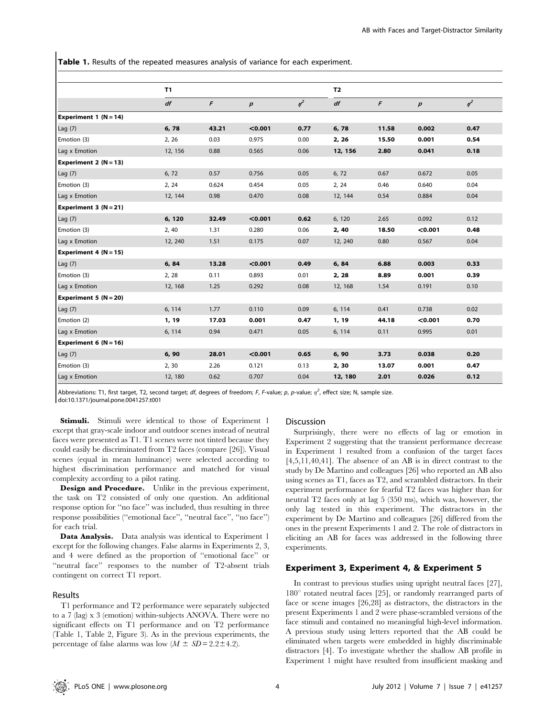Table 1. Results of the repeated measures analysis of variance for each experiment.

|                              | T1      |       |                  |          | <b>T2</b> |       |                  |          |
|------------------------------|---------|-------|------------------|----------|-----------|-------|------------------|----------|
|                              | df      | F     | $\boldsymbol{p}$ | $\eta^2$ | df        | F     | $\boldsymbol{p}$ | $\eta^2$ |
| <b>Experiment 1 (N = 14)</b> |         |       |                  |          |           |       |                  |          |
| Lag $(7)$                    | 6,78    | 43.21 | < 0.001          | 0.77     | 6,78      | 11.58 | 0.002            | 0.47     |
| Emotion (3)                  | 2, 26   | 0.03  | 0.975            | 0.00     | 2, 26     | 15.50 | 0.001            | 0.54     |
| Lag x Emotion                | 12, 156 | 0.88  | 0.565            | 0.06     | 12, 156   | 2.80  | 0.041            | 0.18     |
| <b>Experiment 2 (N = 13)</b> |         |       |                  |          |           |       |                  |          |
| Lag $(7)$                    | 6, 72   | 0.57  | 0.756            | 0.05     | 6, 72     | 0.67  | 0.672            | 0.05     |
| Emotion (3)                  | 2, 24   | 0.624 | 0.454            | 0.05     | 2, 24     | 0.46  | 0.640            | 0.04     |
| Lag x Emotion                | 12, 144 | 0.98  | 0.470            | 0.08     | 12, 144   | 0.54  | 0.884            | 0.04     |
| <b>Experiment 3 (N = 21)</b> |         |       |                  |          |           |       |                  |          |
| Lag $(7)$                    | 6, 120  | 32.49 | < 0.001          | 0.62     | 6, 120    | 2.65  | 0.092            | 0.12     |
| Emotion (3)                  | 2,40    | 1.31  | 0.280            | 0.06     | 2, 40     | 18.50 | < 0.001          | 0.48     |
| Lag x Emotion                | 12, 240 | 1.51  | 0.175            | 0.07     | 12, 240   | 0.80  | 0.567            | 0.04     |
| <b>Experiment 4 (N = 15)</b> |         |       |                  |          |           |       |                  |          |
| Lag $(7)$                    | 6, 84   | 13.28 | < 0.001          | 0.49     | 6, 84     | 6.88  | 0.003            | 0.33     |
| Emotion (3)                  | 2, 28   | 0.11  | 0.893            | 0.01     | 2, 28     | 8.89  | 0.001            | 0.39     |
| Lag x Emotion                | 12, 168 | 1.25  | 0.292            | 0.08     | 12, 168   | 1.54  | 0.191            | 0.10     |
| <b>Experiment 5 (N = 20)</b> |         |       |                  |          |           |       |                  |          |
| Lag $(7)$                    | 6, 114  | 1.77  | 0.110            | 0.09     | 6, 114    | 0.41  | 0.738            | 0.02     |
| Emotion (2)                  | 1, 19   | 17.03 | 0.001            | 0.47     | 1, 19     | 44.18 | < 0.001          | 0.70     |
| Lag x Emotion                | 6, 114  | 0.94  | 0.471            | 0.05     | 6, 114    | 0.11  | 0.995            | 0.01     |
| <b>Experiment 6 (N = 16)</b> |         |       |                  |          |           |       |                  |          |
| Lag $(7)$                    | 6,90    | 28.01 | < 0.001          | 0.65     | 6,90      | 3.73  | 0.038            | 0.20     |
| Emotion (3)                  | 2, 30   | 2.26  | 0.121            | 0.13     | 2,30      | 13.07 | 0.001            | 0.47     |
| Lag x Emotion                | 12, 180 | 0.62  | 0.707            | 0.04     | 12, 180   | 2.01  | 0.026            | 0.12     |

Abbreviations: T1, first target, T2, second target; *df*, degrees of freedom; F, F-value; p, p-value;  $\eta^2$ , effect size; N, sample size. doi:10.1371/journal.pone.0041257.t001

Stimuli. Stimuli were identical to those of Experiment 1 except that gray-scale indoor and outdoor scenes instead of neutral faces were presented as T1. T1 scenes were not tinted because they could easily be discriminated from T2 faces (compare [26]). Visual scenes (equal in mean luminance) were selected according to highest discrimination performance and matched for visual complexity according to a pilot rating.

Design and Procedure. Unlike in the previous experiment, the task on T2 consisted of only one question. An additional response option for ''no face'' was included, thus resulting in three response possibilities (''emotional face'', ''neutral face'', ''no face'') for each trial.

Data Analysis. Data analysis was identical to Experiment 1 except for the following changes. False alarms in Experiments 2, 3, and 4 were defined as the proportion of ''emotional face'' or ''neutral face'' responses to the number of T2-absent trials contingent on correct T1 report.

#### Results

T1 performance and T2 performance were separately subjected to a 7 (lag) x 3 (emotion) within-subjects ANOVA. There were no significant effects on T1 performance and on T2 performance (Table 1, Table 2, Figure 3). As in the previous experiments, the percentage of false alarms was low  $(M \pm SD = 2.2 \pm 4.2)$ .

#### Discussion

Surprisingly, there were no effects of lag or emotion in Experiment 2 suggesting that the transient performance decrease in Experiment 1 resulted from a confusion of the target faces [4,5,11,40,41]. The absence of an AB is in direct contrast to the study by De Martino and colleagues [26] who reported an AB also using scenes as T1, faces as T2, and scrambled distractors. In their experiment performance for fearful T2 faces was higher than for neutral T2 faces only at lag 5 (350 ms), which was, however, the only lag tested in this experiment. The distractors in the experiment by De Martino and colleagues [26] differed from the ones in the present Experiments 1 and 2. The role of distractors in eliciting an AB for faces was addressed in the following three experiments.

## Experiment 3, Experiment 4, & Experiment 5

In contrast to previous studies using upright neutral faces [27],  $180^\circ$  rotated neutral faces [25], or randomly rearranged parts of face or scene images [26,28] as distractors, the distractors in the present Experiments 1 and 2 were phase-scrambled versions of the face stimuli and contained no meaningful high-level information. A previous study using letters reported that the AB could be eliminated when targets were embedded in highly discriminable distractors [4]. To investigate whether the shallow AB profile in Experiment 1 might have resulted from insufficient masking and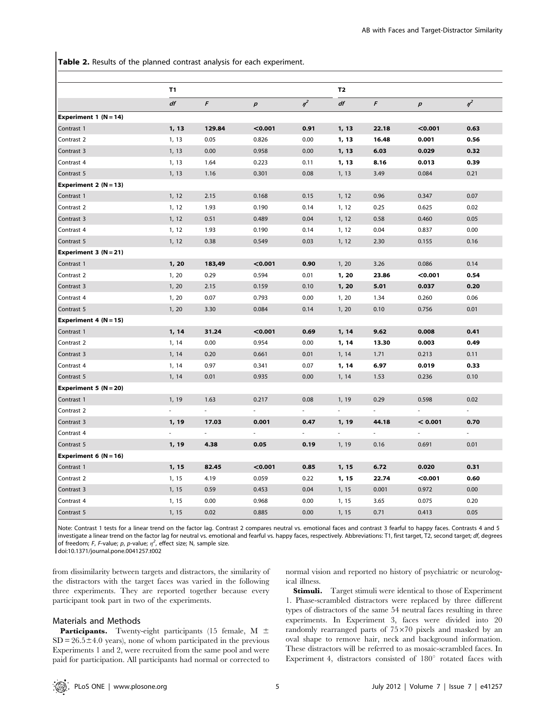Table 2. Results of the planned contrast analysis for each experiment.

|                           | T1    |        |         |          | T <sub>2</sub> |       |         |                          |  |
|---------------------------|-------|--------|---------|----------|----------------|-------|---------|--------------------------|--|
|                           | df    | F      | р       | $\eta^2$ | df             | F     | р       | $\eta^2$                 |  |
| Experiment 1 $(N = 14)$   |       |        |         |          |                |       |         |                          |  |
| Contrast 1                | 1, 13 | 129.84 | < 0.001 | 0.91     | 1, 13          | 22.18 | < 0.001 | 0.63                     |  |
| Contrast 2                | 1, 13 | 0.05   | 0.826   | 0.00     | 1, 13          | 16.48 | 0.001   | 0.56                     |  |
| Contrast 3                | 1, 13 | 0.00   | 0.958   | 0.00     | 1, 13          | 6.03  | 0.029   | 0.32                     |  |
| Contrast 4                | 1, 13 | 1.64   | 0.223   | 0.11     | 1, 13          | 8.16  | 0.013   | 0.39                     |  |
| Contrast 5                | 1, 13 | 1.16   | 0.301   | 0.08     | 1, 13          | 3.49  | 0.084   | 0.21                     |  |
| Experiment 2 $(N = 13)$   |       |        |         |          |                |       |         |                          |  |
| Contrast 1                | 1, 12 | 2.15   | 0.168   | 0.15     | 1, 12          | 0.96  | 0.347   | 0.07                     |  |
| Contrast 2                | 1, 12 | 1.93   | 0.190   | 0.14     | 1, 12          | 0.25  | 0.625   | 0.02                     |  |
| Contrast 3                | 1, 12 | 0.51   | 0.489   | 0.04     | 1, 12          | 0.58  | 0.460   | 0.05                     |  |
| Contrast 4                | 1, 12 | 1.93   | 0.190   | 0.14     | 1, 12          | 0.04  | 0.837   | 0.00                     |  |
| Contrast 5                | 1, 12 | 0.38   | 0.549   | 0.03     | 1, 12          | 2.30  | 0.155   | 0.16                     |  |
| Experiment $3(N=21)$      |       |        |         |          |                |       |         |                          |  |
| Contrast 1                | 1, 20 | 183,49 | < 0.001 | 0.90     | 1, 20          | 3.26  | 0.086   | 0.14                     |  |
| Contrast 2                | 1, 20 | 0.29   | 0.594   | 0.01     | 1, 20          | 23.86 | < 0.001 | 0.54                     |  |
| Contrast 3                | 1, 20 | 2.15   | 0.159   | 0.10     | 1, 20          | 5.01  | 0.037   | 0.20                     |  |
| Contrast 4                | 1, 20 | 0.07   | 0.793   | 0.00     | 1, 20          | 1.34  | 0.260   | 0.06                     |  |
| Contrast 5                | 1, 20 | 3.30   | 0.084   | 0.14     | 1, 20          | 0.10  | 0.756   | 0.01                     |  |
| Experiment 4 ( $N = 15$ ) |       |        |         |          |                |       |         |                          |  |
| Contrast 1                | 1, 14 | 31.24  | < 0.001 | 0.69     | 1, 14          | 9.62  | 0.008   | 0.41                     |  |
| Contrast 2                | 1, 14 | 0.00   | 0.954   | 0.00     | 1, 14          | 13.30 | 0.003   | 0.49                     |  |
| Contrast 3                | 1, 14 | 0.20   | 0.661   | 0.01     | 1, 14          | 1.71  | 0.213   | 0.11                     |  |
| Contrast 4                | 1, 14 | 0.97   | 0.341   | 0.07     | 1, 14          | 6.97  | 0.019   | 0.33                     |  |
| Contrast 5                | 1, 14 | 0.01   | 0.935   | 0.00     | 1, 14          | 1.53  | 0.236   | 0.10                     |  |
| Experiment 5 $(N = 20)$   |       |        |         |          |                |       |         |                          |  |
| Contrast 1                | 1, 19 | 1.63   | 0.217   | 0.08     | 1, 19          | 0.29  | 0.598   | 0.02                     |  |
| Contrast 2                |       | ÷,     |         |          |                |       |         |                          |  |
| Contrast 3                | 1, 19 | 17.03  | 0.001   | 0.47     | 1, 19          | 44.18 | < 0.001 | 0.70                     |  |
| Contrast 4                |       |        |         |          | ä,             |       |         | $\overline{\phantom{a}}$ |  |
| Contrast 5                | 1, 19 | 4.38   | 0.05    | 0.19     | 1, 19          | 0.16  | 0.691   | 0.01                     |  |
| Experiment 6 $(N = 16)$   |       |        |         |          |                |       |         |                          |  |
| Contrast 1                | 1, 15 | 82.45  | < 0.001 | 0.85     | 1, 15          | 6.72  | 0.020   | 0.31                     |  |
| Contrast 2                | 1, 15 | 4.19   | 0.059   | 0.22     | 1, 15          | 22.74 | < 0.001 | 0.60                     |  |
| Contrast 3                | 1, 15 | 0.59   | 0.453   | 0.04     | 1, 15          | 0.001 | 0.972   | 0.00                     |  |
| Contrast 4                | 1, 15 | 0.00   | 0.968   | 0.00     | 1, 15          | 3.65  | 0.075   | 0.20                     |  |
| Contrast 5                | 1, 15 | 0.02   | 0.885   | 0.00     | 1, 15          | 0.71  | 0.413   | 0.05                     |  |

Note: Contrast 1 tests for a linear trend on the factor lag. Contrast 2 compares neutral vs. emotional faces and contrast 3 fearful to happy faces. Contrasts 4 and 5 investigate a linear trend on the factor lag for neutral vs. emotional and fearful vs. happy faces, respectively. Abbreviations: T1, first target, T2, second target; df, degrees of freedom; F, F-value; p, p-value;  $\eta^2$ , effect size; N, sample size.

doi:10.1371/journal.pone.0041257.t002

from dissimilarity between targets and distractors, the similarity of the distractors with the target faces was varied in the following three experiments. They are reported together because every participant took part in two of the experiments.

#### Materials and Methods

Participants. Twenty-eight participants (15 female, M  $\pm$  $SD = 26.5 \pm 4.0$  years), none of whom participated in the previous Experiments 1 and 2, were recruited from the same pool and were paid for participation. All participants had normal or corrected to normal vision and reported no history of psychiatric or neurological illness.

Stimuli. Target stimuli were identical to those of Experiment 1. Phase-scrambled distractors were replaced by three different types of distractors of the same 54 neutral faces resulting in three experiments. In Experiment 3, faces were divided into 20 randomly rearranged parts of  $75\times70$  pixels and masked by an oval shape to remove hair, neck and background information. These distractors will be referred to as mosaic-scrambled faces. In Experiment 4, distractors consisted of  $180^\circ$  rotated faces with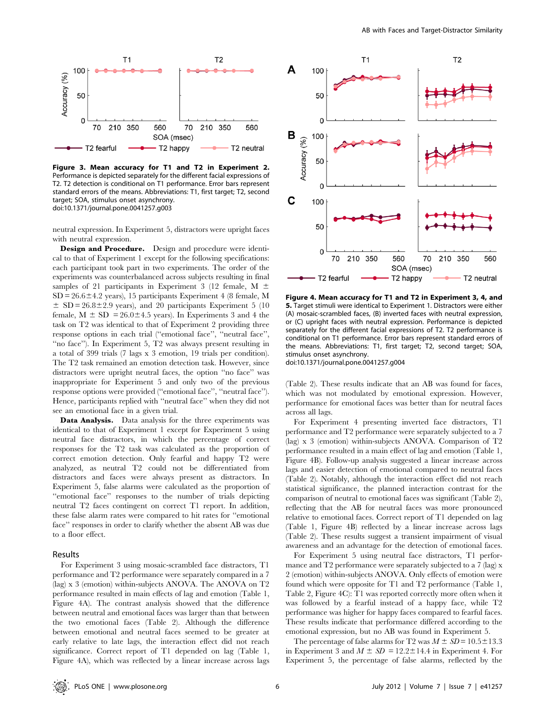

Figure 3. Mean accuracy for T1 and T2 in Experiment 2. Performance is depicted separately for the different facial expressions of T2. T2 detection is conditional on T1 performance. Error bars represent standard errors of the means. Abbreviations: T1, first target; T2, second target; SOA, stimulus onset asynchrony. doi:10.1371/journal.pone.0041257.g003

neutral expression. In Experiment 5, distractors were upright faces with neutral expression.

Design and Procedure. Design and procedure were identical to that of Experiment 1 except for the following specifications: each participant took part in two experiments. The order of the experiments was counterbalanced across subjects resulting in final samples of 21 participants in Experiment 3 (12 female, M  $\pm$  $SD = 26.6 \pm 4.2$  years), 15 participants Experiment 4 (8 female, M  $\pm$  SD = 26.8 $\pm$ 2.9 years), and 20 participants Experiment 5 (10) female,  $M \pm SD = 26.0 \pm 4.5$  years). In Experiments 3 and 4 the task on T2 was identical to that of Experiment 2 providing three response options in each trial (''emotional face'', ''neutral face'', ''no face''). In Experiment 5, T2 was always present resulting in a total of 399 trials (7 lags x 3 emotion, 19 trials per condition). The T2 task remained an emotion detection task. However, since distractors were upright neutral faces, the option ''no face'' was inappropriate for Experiment 5 and only two of the previous response options were provided (''emotional face'', ''neutral face''). Hence, participants replied with ''neutral face'' when they did not see an emotional face in a given trial.

Data Analysis. Data analysis for the three experiments was identical to that of Experiment 1 except for Experiment 5 using neutral face distractors, in which the percentage of correct responses for the T2 task was calculated as the proportion of correct emotion detection. Only fearful and happy T2 were analyzed, as neutral T2 could not be differentiated from distractors and faces were always present as distractors. In Experiment 5, false alarms were calculated as the proportion of "emotional face" responses to the number of trials depicting neutral T2 faces contingent on correct T1 report. In addition, these false alarm rates were compared to hit rates for ''emotional face'' responses in order to clarify whether the absent AB was due to a floor effect.

#### Results

For Experiment 3 using mosaic-scrambled face distractors, T1 performance and T2 performance were separately compared in a 7 (lag) x 3 (emotion) within-subjects ANOVA. The ANOVA on T2 performance resulted in main effects of lag and emotion (Table 1, Figure 4A). The contrast analysis showed that the difference between neutral and emotional faces was larger than that between the two emotional faces (Table 2). Although the difference between emotional and neutral faces seemed to be greater at early relative to late lags, the interaction effect did not reach significance. Correct report of T1 depended on lag (Table 1, Figure 4A), which was reflected by a linear increase across lags



Figure 4. Mean accuracy for T1 and T2 in Experiment 3, 4, and 5. Target stimuli were identical to Experiment 1. Distractors were either (A) mosaic-scrambled faces, (B) inverted faces with neutral expression, or (C) upright faces with neutral expression. Performance is depicted separately for the different facial expressions of T2. T2 performance is conditional on T1 performance. Error bars represent standard errors of the means. Abbreviations: T1, first target; T2, second target; SOA, stimulus onset asynchrony.

doi:10.1371/journal.pone.0041257.g004

(Table 2). These results indicate that an AB was found for faces, which was not modulated by emotional expression. However, performance for emotional faces was better than for neutral faces across all lags.

For Experiment 4 presenting inverted face distractors, T1 performance and T2 performance were separately subjected to a 7 (lag) x 3 (emotion) within-subjects ANOVA. Comparison of T2 performance resulted in a main effect of lag and emotion (Table 1, Figure 4B). Follow-up analysis suggested a linear increase across lags and easier detection of emotional compared to neutral faces (Table 2). Notably, although the interaction effect did not reach statistical significance, the planned interaction contrast for the comparison of neutral to emotional faces was significant (Table 2), reflecting that the AB for neutral faces was more pronounced relative to emotional faces. Correct report of T1 depended on lag (Table 1, Figure 4B) reflected by a linear increase across lags (Table 2). These results suggest a transient impairment of visual awareness and an advantage for the detection of emotional faces.

For Experiment 5 using neutral face distractors, T1 performance and T2 performance were separately subjected to a 7 (lag) x 2 (emotion) within-subjects ANOVA. Only effects of emotion were found which were opposite for T1 and T2 performance (Table 1, Table 2, Figure 4C): T1 was reported correctly more often when it was followed by a fearful instead of a happy face, while T2 performance was higher for happy faces compared to fearful faces. These results indicate that performance differed according to the emotional expression, but no AB was found in Experiment 5.

The percentage of false alarms for T2 was  $M \pm SD = 10.5 \pm 13.3$ in Experiment 3 and  $M \pm SD = 12.2 \pm 14.4$  in Experiment 4. For Experiment 5, the percentage of false alarms, reflected by the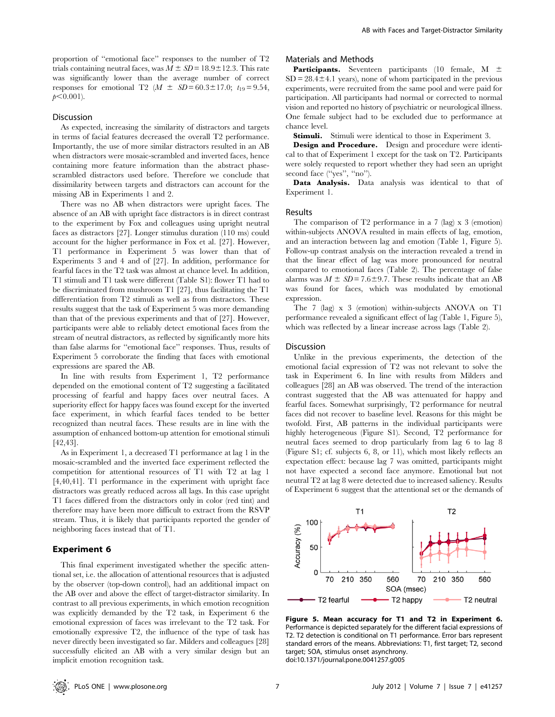proportion of ''emotional face'' responses to the number of T2 trials containing neutral faces, was  $M \pm SD = 18.9 \pm 12.3$ . This rate was significantly lower than the average number of correct responses for emotional T2 ( $M \pm SD = 60.3 \pm 17.0$ ;  $t_{19} = 9.54$ ,  $p<0.001$ ).

## Discussion

As expected, increasing the similarity of distractors and targets in terms of facial features decreased the overall T2 performance. Importantly, the use of more similar distractors resulted in an AB when distractors were mosaic-scrambled and inverted faces, hence containing more feature information than the abstract phasescrambled distractors used before. Therefore we conclude that dissimilarity between targets and distractors can account for the missing AB in Experiments 1 and 2.

There was no AB when distractors were upright faces. The absence of an AB with upright face distractors is in direct contrast to the experiment by Fox and colleagues using upright neutral faces as distractors [27]. Longer stimulus duration (110 ms) could account for the higher performance in Fox et al. [27]. However, T1 performance in Experiment 5 was lower than that of Experiments 3 and 4 and of [27]. In addition, performance for fearful faces in the T2 task was almost at chance level. In addition, T1 stimuli and T1 task were different (Table S1): flower T1 had to be discriminated from mushroom T1 [27], thus facilitating the T1 differentiation from T2 stimuli as well as from distractors. These results suggest that the task of Experiment 5 was more demanding than that of the previous experiments and that of [27]. However, participants were able to reliably detect emotional faces from the stream of neutral distractors, as reflected by significantly more hits than false alarms for ''emotional face'' responses. Thus, results of Experiment 5 corroborate the finding that faces with emotional expressions are spared the AB.

In line with results from Experiment 1, T2 performance depended on the emotional content of T2 suggesting a facilitated processing of fearful and happy faces over neutral faces. A superiority effect for happy faces was found except for the inverted face experiment, in which fearful faces tended to be better recognized than neutral faces. These results are in line with the assumption of enhanced bottom-up attention for emotional stimuli [42,43].

As in Experiment 1, a decreased T1 performance at lag 1 in the mosaic-scrambled and the inverted face experiment reflected the competition for attentional resources of T1 with T2 at lag 1 [4,40,41]. T1 performance in the experiment with upright face distractors was greatly reduced across all lags. In this case upright T1 faces differed from the distractors only in color (red tint) and therefore may have been more difficult to extract from the RSVP stream. Thus, it is likely that participants reported the gender of neighboring faces instead that of T1.

## Experiment 6

This final experiment investigated whether the specific attentional set, i.e. the allocation of attentional resources that is adjusted by the observer (top-down control), had an additional impact on the AB over and above the effect of target-distractor similarity. In contrast to all previous experiments, in which emotion recognition was explicitly demanded by the T2 task, in Experiment 6 the emotional expression of faces was irrelevant to the T2 task. For emotionally expressive T2, the influence of the type of task has never directly been investigated so far. Milders and colleagues [28] successfully elicited an AB with a very similar design but an implicit emotion recognition task.

# Materials and Methods

**Participants.** Seventeen participants (10 female, M  $\pm$  $SD = 28.4 \pm 4.1$  years), none of whom participated in the previous experiments, were recruited from the same pool and were paid for participation. All participants had normal or corrected to normal vision and reported no history of psychiatric or neurological illness. One female subject had to be excluded due to performance at chance level.

**Stimuli.** Stimuli were identical to those in Experiment 3.

Design and Procedure. Design and procedure were identical to that of Experiment 1 except for the task on T2. Participants were solely requested to report whether they had seen an upright second face ("yes", "no").

Data Analysis. Data analysis was identical to that of Experiment 1.

#### Results

The comparison of T2 performance in a 7 (lag) x 3 (emotion) within-subjects ANOVA resulted in main effects of lag, emotion, and an interaction between lag and emotion (Table 1, Figure 5). Follow-up contrast analysis on the interaction revealed a trend in that the linear effect of lag was more pronounced for neutral compared to emotional faces (Table 2). The percentage of false alarms was  $M \pm SD = 7.6 \pm 9.7$ . These results indicate that an AB was found for faces, which was modulated by emotional expression.

The 7 (lag) x 3 (emotion) within-subjects ANOVA on T1 performance revealed a significant effect of lag (Table 1, Figure 5), which was reflected by a linear increase across lags (Table 2).

#### **Discussion**

Unlike in the previous experiments, the detection of the emotional facial expression of T2 was not relevant to solve the task in Experiment 6. In line with results from Milders and colleagues [28] an AB was observed. The trend of the interaction contrast suggested that the AB was attenuated for happy and fearful faces. Somewhat surprisingly, T2 performance for neutral faces did not recover to baseline level. Reasons for this might be twofold. First, AB patterns in the individual participants were highly heterogeneous (Figure S1). Second, T2 performance for neutral faces seemed to drop particularly from lag 6 to lag 8 (Figure S1; cf. subjects 6, 8, or 11), which most likely reflects an expectation effect: because lag 7 was omitted, participants might not have expected a second face anymore. Emotional but not neutral T2 at lag 8 were detected due to increased saliency. Results of Experiment 6 suggest that the attentional set or the demands of



Figure 5. Mean accuracy for T1 and T2 in Experiment 6. Performance is depicted separately for the different facial expressions of T2. T2 detection is conditional on T1 performance. Error bars represent standard errors of the means. Abbreviations: T1, first target; T2, second target; SOA, stimulus onset asynchrony. doi:10.1371/journal.pone.0041257.g005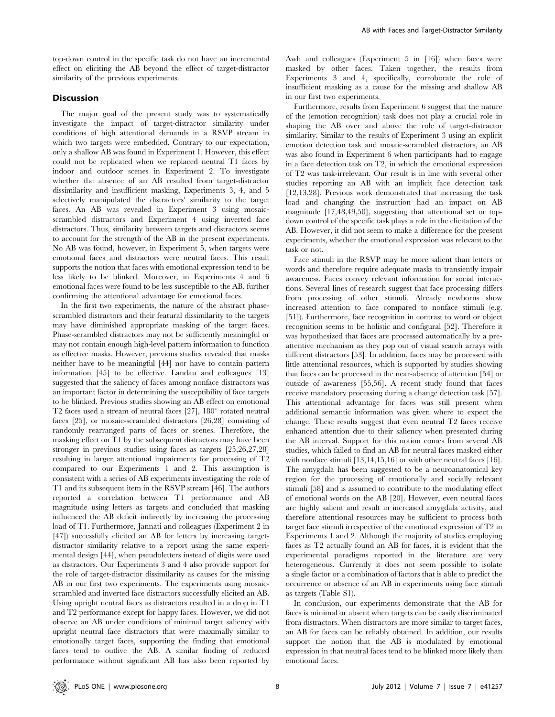top-down control in the specific task do not have an incremental effect on eliciting the AB beyond the effect of target-distractor similarity of the previous experiments.

# Discussion

The major goal of the present study was to systematically investigate the impact of target-distractor similarity under conditions of high attentional demands in a RSVP stream in which two targets were embedded. Contrary to our expectation, only a shallow AB was found in Experiment 1. However, this effect could not be replicated when we replaced neutral T1 faces by indoor and outdoor scenes in Experiment 2. To investigate whether the absence of an AB resulted from target-distractor dissimilarity and insufficient masking, Experiments 3, 4, and 5 selectively manipulated the distractors' similarity to the target faces. An AB was revealed in Experiment 3 using mosaicscrambled distractors and Experiment 4 using inverted face distractors. Thus, similarity between targets and distractors seems to account for the strength of the AB in the present experiments. No AB was found, however, in Experiment 5, when targets were emotional faces and distractors were neutral faces. This result supports the notion that faces with emotional expression tend to be less likely to be blinked. Moreover, in Experiments 4 and 6 emotional faces were found to be less susceptible to the AB, further confirming the attentional advantage for emotional faces.

In the first two experiments, the nature of the abstract phasescrambled distractors and their featural dissimilarity to the targets may have diminished appropriate masking of the target faces. Phase-scrambled distractors may not be sufficiently meaningful or may not contain enough high-level pattern information to function as effective masks. However, previous studies revealed that masks neither have to be meaningful [44] nor have to contain pattern information [45] to be effective. Landau and colleagues [13] suggested that the saliency of faces among nonface distractors was an important factor in determining the susceptibility of face targets to be blinked. Previous studies showing an AB effect on emotional T2 faces used a stream of neutral faces  $[27]$ ,  $180^\circ$  rotated neutral faces [25], or mosaic-scrambled distractors [26,28] consisting of randomly rearranged parts of faces or scenes. Therefore, the masking effect on T1 by the subsequent distractors may have been stronger in previous studies using faces as targets [25,26,27,28] resulting in larger attentional impairments for processing of T2 compared to our Experiments 1 and 2. This assumption is consistent with a series of AB experiments investigating the role of T1 and its subsequent item in the RSVP stream [46]. The authors reported a correlation between T1 performance and AB magnitude using letters as targets and concluded that masking influenced the AB deficit indirectly by increasing the processing load of T1. Furthermore, Jannati and colleagues (Experiment 2 in [47]) successfully elicited an AB for letters by increasing targetdistractor similarity relative to a report using the same experimental design [44], when pseudoletters instead of digits were used as distractors. Our Experiments 3 and 4 also provide support for the role of target-distractor dissimilarity as causes for the missing AB in our first two experiments. The experiments using mosaicscrambled and inverted face distractors successfully elicited an AB. Using upright neutral faces as distractors resulted in a drop in T1 and T2 performance except for happy faces. However, we did not observe an AB under conditions of minimal target saliency with upright neutral face distractors that were maximally similar to emotionally target faces, supporting the finding that emotional faces tend to outlive the AB. A similar finding of reduced performance without significant AB has also been reported by Awh and colleagues (Experiment 5 in [16]) when faces were masked by other faces. Taken together, the results from Experiments 3 and 4, specifically, corroborate the role of insufficient masking as a cause for the missing and shallow AB in our first two experiments.

Furthermore, results from Experiment 6 suggest that the nature of the (emotion recognition) task does not play a crucial role in shaping the AB over and above the role of target-distractor similarity. Similar to the results of Experiment 3 using an explicit emotion detection task and mosaic-scrambled distractors, an AB was also found in Experiment 6 when participants had to engage in a face detection task on T2, in which the emotional expression of T2 was task-irrelevant. Our result is in line with several other studies reporting an AB with an implicit face detection task [12,13,28]. Previous work demonstrated that increasing the task load and changing the instruction had an impact on AB magnitude [17,48,49,50], suggesting that attentional set or topdown control of the specific task plays a role in the elicitation of the AB. However, it did not seem to make a difference for the present experiments, whether the emotional expression was relevant to the task or not.

Face stimuli in the RSVP may be more salient than letters or words and therefore require adequate masks to transiently impair awareness. Faces convey relevant information for social interactions. Several lines of research suggest that face processing differs from processing of other stimuli. Already newborns show increased attention to face compared to nonface stimuli (e.g. [51]). Furthermore, face recognition in contrast to word or object recognition seems to be holistic and configural [52]. Therefore it was hypothesized that faces are processed automatically by a preattentive mechanism as they pop out of visual search arrays with different distractors [53]. In addition, faces may be processed with little attentional resources, which is supported by studies showing that faces can be processed in the near-absence of attention [54] or outside of awareness [55,56]. A recent study found that faces receive mandatory processing during a change detection task [57]. This attentional advantage for faces was still present when additional semantic information was given where to expect the change. These results suggest that even neutral T2 faces receive enhanced attention due to their saliency when presented during the AB interval. Support for this notion comes from several AB studies, which failed to find an AB for neutral faces masked either with nonface stimuli [13,14,15,16] or with other neutral faces [16]. The amygdala has been suggested to be a neuroanatomical key region for the processing of emotionally and socially relevant stimuli [58] and is assumed to contribute to the modulating effect of emotional words on the AB [20]. However, even neutral faces are highly salient and result in increased amygdala activity, and therefore attentional resources may be sufficient to process both target face stimuli irrespective of the emotional expression of T2 in Experiments 1 and 2. Although the majority of studies employing faces as T2 actually found an AB for faces, it is evident that the experimental paradigms reported in the literature are very heterogeneous. Currently it does not seem possible to isolate a single factor or a combination of factors that is able to predict the occurrence or absence of an AB in experiments using face stimuli as targets (Table S1).

In conclusion, our experiments demonstrate that the AB for faces is minimal or absent when targets can be easily discriminated from distractors. When distractors are more similar to target faces, an AB for faces can be reliably obtained. In addition, our results support the notion that the AB is modulated by emotional expression in that neutral faces tend to be blinked more likely than emotional faces.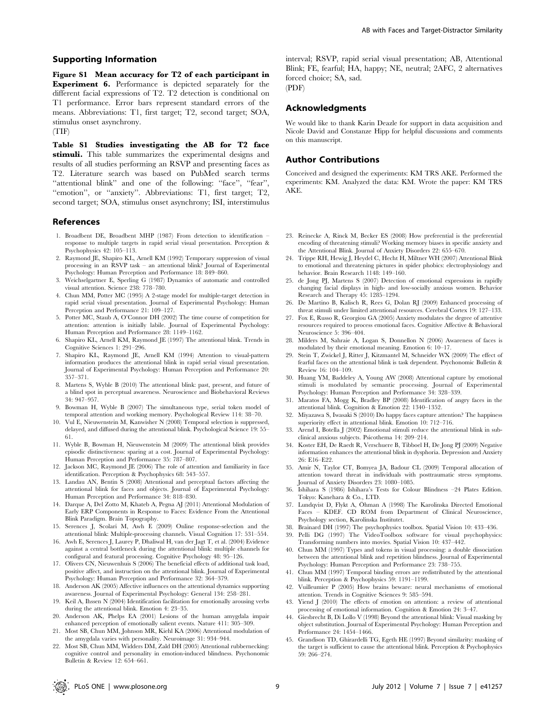# Supporting Information

Figure S1 Mean accuracy for T2 of each participant in Experiment 6. Performance is depicted separately for the different facial expressions of T2. T2 detection is conditional on T1 performance. Error bars represent standard errors of the means. Abbreviations: T1, first target; T2, second target; SOA, stimulus onset asynchrony. (TIF)

Table S1 Studies investigating the AB for T2 face stimuli. This table summarizes the experimental designs and results of all studies performing an RSVP and presenting faces as T2. Literature search was based on PubMed search terms "attentional blink" and one of the following: "face", "fear", "emotion", or "anxiety". Abbreviations: T1, first target; T2, second target; SOA, stimulus onset asynchrony; ISI, interstimulus

#### References

- 1. Broadbent DE, Broadbent MHP (1987) From detection to identification response to multiple targets in rapid serial visual presentation. Perception & Psychophysics 42: 105–113.
- 2. Raymond JE, Shapiro KL, Arnell KM (1992) Temporary suppression of visual processing in an RSVP task – an attentional blink? Journal of Experimental Psychology: Human Perception and Performance 18: 849–860.
- 3. Weichselgartner E, Sperling G (1987) Dynamics of automatic and controlled visual attention. Science 238: 778–780.
- 4. Chun MM, Potter MC (1995) A 2-stage model for multiple-target detection in rapid serial visual presentation. Journal of Experimental Psychology: Human Perception and Performance 21: 109–127.
- 5. Potter MC, Staub A, O'Connor DH (2002) The time course of competition for attention: attention is initially labile. Journal of Experimental Psychology: Human Perception and Performance 28: 1149–1162.
- 6. Shapiro KL, Arnell KM, Raymond JE (1997) The attentional blink. Trends in Cognitive Sciences 1: 291–296.
- 7. Shapiro KL, Raymond JE, Arnell KM (1994) Attention to visual-pattern information produces the attentional blink in rapid serial visual presentation. Journal of Experimental Psychology: Human Perception and Performance 20: 357–371.
- 8. Martens S, Wyble B (2010) The attentional blink: past, present, and future of a blind spot in perceptual awareness. Neuroscience and Biobehavioral Reviews 34: 947–957.
- 9. Bowman H, Wyble B (2007) The simultaneous type, serial token model of temporal attention and working memory. Psychological Review 114: 38–70.
- 10. Vul E, Nieuwenstein M, Kanwisher N (2008) Temporal selection is suppressed, delayed, and diffused during the attentional blink. Psychological Science 19: 55– 61.
- 11. Wyble B, Bowman H, Nieuwenstein M (2009) The attentional blink provides episodic distinctiveness: sparing at a cost. Journal of Experimental Psychology: Human Perception and Performance 35: 787–807.
- 12. Jackson MC, Raymond JE (2006) The role of attention and familiarity in face identification. Perception & Psychophysics 68: 543–557.
- 13. Landau AN, Bentin S (2008) Attentional and perceptual factors affecting the attentional blink for faces and objects. Journal of Experimental Psychology: Human Perception and Performance 34: 818–830.
- 14. Darque A, Del Zotto M, Khateb A, Pegna AJ (2011) Attentional Modulation of Early ERP Components in Response to Faces: Evidence From the Attentional Blink Paradigm. Brain Topography.
- 15. Serences J, Scolari M, Awh E (2009) Online response-selection and the attentional blink: Multiple-processing channels. Visual Cognition 17: 531–554.
- 16. Awh E, Serences J, Laurey P, Dhaliwal H, van der Jagt T, et al. (2004) Evidence against a central bottleneck during the attentional blink: multiple channels for configural and featural processing. Cognitive Psychology 48: 95–126.
- 17. Olivers CN, Nieuwenhuis S (2006) The beneficial effects of additional task load, positive affect, and instruction on the attentional blink. Journal of Experimental Psychology: Human Perception and Performance 32: 364–379.
- 18. Anderson AK (2005) Affective influences on the attentional dynamics supporting awareness. Journal of Experimental Psychology: General 134: 258–281.
- 19. Keil A, Ihssen N (2004) Identification facilitation for emotionally arousing verbs during the attentional blink. Emotion 4: 23–35.
- 20. Anderson AK, Phelps EA (2001) Lesions of the human amygdala impair enhanced perception of emotionally salient events. Nature 411: 305–309.
- 21. Most SB, Chun MM, Johnson MR, Kiehl KA (2006) Attentional modulation of the amygdala varies with personality. Neuroimage 31: 934–944.
- 22. Most SB, Chun MM, Widders DM, Zald DH (2005) Attentional rubbernecking: cognitive control and personality in emotion-induced blindness. Psychonomic Bulletin & Review 12: 654–661.

interval; RSVP, rapid serial visual presentation; AB, Attentional Blink; FE, fearful; HA, happy; NE, neutral; 2AFC, 2 alternatives forced choice; SA, sad.

(PDF)

## Acknowledgments

We would like to thank Karin Deazle for support in data acquisition and Nicole David and Constanze Hipp for helpful discussions and comments on this manuscript.

# Author Contributions

Conceived and designed the experiments: KM TRS AKE. Performed the experiments: KM. Analyzed the data: KM. Wrote the paper: KM TRS AKE.

- 23. Reinecke A, Rinck M, Becker ES (2008) How preferential is the preferential encoding of threatening stimuli? Working memory biases in specific anxiety and the Attentional Blink. Journal of Anxiety Disorders 22: 655–670.
- 24. Trippe RH, Hewig J, Heydel C, Hecht H, Miltner WH (2007) Attentional Blink to emotional and threatening pictures in spider phobics: electrophysiology and behavior. Brain Research 1148: 149–160.
- 25. de Jong PJ, Martens S (2007) Detection of emotional expressions in rapidly changing facial displays in high- and low-socially anxious women. Behavior Research and Therapy 45: 1285–1294.
- 26. De Martino B, Kalisch R, Rees G, Dolan RJ (2009) Enhanced processing of threat stimuli under limited attentional resources. Cerebral Cortex 19: 127–133.
- 27. Fox E, Russo R, Georgiou GA (2005) Anxiety modulates the degree of attentive resources required to process emotional faces. Cognitive Affective & Behavioral Neuroscience 5: 396–404.
- 28. Milders M, Sahraie A, Logan S, Donnellon N (2006) Awareness of faces is modulated by their emotional meaning. Emotion 6: 10–17.
- 29. Stein T, Zwickel J, Ritter J, Kitzmantel M, Schneider WX (2009) The effect of fearful faces on the attentional blink is task dependent. Psychonomic Bulletin & Review 16: 104–109.
- 30. Huang YM, Baddeley A, Young AW (2008) Attentional capture by emotional stimuli is modulated by semantic processing. Journal of Experimental Psychology: Human Perception and Performance 34: 328–339.
- 31. Maratos FA, Mogg K, Bradley BP (2008) Identification of angry faces in the attentional blink. Cognition & Emotion 22: 1340–1352.
- 32. Miyazawa S, Iwasaki S (2010) Do happy faces capture attention? The happiness superiority effect in attentional blink. Emotion 10: 712–716.
- 33. Arend I, Botella J (2002) Emotional stimuli reduce the attentional blink in subclinical anxious subjects. Psicothema 14: 209–214.
- 34. Koster EH, De Raedt R, Verschuere B, Tibboel H, De Jong PJ (2009) Negative information enhances the attentional blink in dysphoria. Depression and Anxiety 26: E16–E22.
- 35. Amir N, Taylor CT, Bomyea JA, Badour CL (2009) Temporal allocation of attention toward threat in individuals with posttraumatic stress symptoms. Journal of Anxiety Disorders 23: 1080–1085.
- 36. Ishihara S (1986) Ishihara's Tests for Colour Blindness –24 Plates Edition. Tokyo: Kanehara & Co., LTD.
- 37. Lundqvist D, Flykt A, Öhman A (1998) The Karolinska Directed Emotional Faces – KDEF. CD ROM from Department of Clinical Neuroscience, Psychology section, Karolinska Institutet.
- 38. Brainard DH (1997) The psychophysics toolbox. Spatial Vision 10: 433–436.
- 39. Pelli DG (1997) The VideoToolbox software for visual psychophysics: Transforming numbers into movies. Spatial Vision 10: 437–442.
- 40. Chun MM (1997) Types and tokens in visual processing: a double dissociation between the attentional blink and repetition blindness. Journal of Experimental Psychology: Human Perception and Performance 23: 738–755.
- 41. Chun MM (1997) Temporal binding errors are redistributed by the attentional blink. Perception & Psychophysics 59: 1191–1199.
- 42. Vuilleumier P (2005) How brains beware: neural mechanisms of emotional attention. Trends in Cognitive Sciences 9: 585–594.
- 43. Yiend J (2010) The effects of emotion on attention: a review of attentional processing of emotional information. Cognition & Emotion 24: 3–47.
- 44. Giesbrecht B, Di Lollo V (1998) Beyond the attentional blink: Visual masking by object substitution. Journal of Experimental Psychology: Human Perception and Performance 24: 1454–1466.
- 45. Grandison TD, Ghirardelli TG, Egeth HE (1997) Beyond similarity: masking of the target is sufficient to cause the attentional blink. Perception & Psychophysics 59: 266–274.